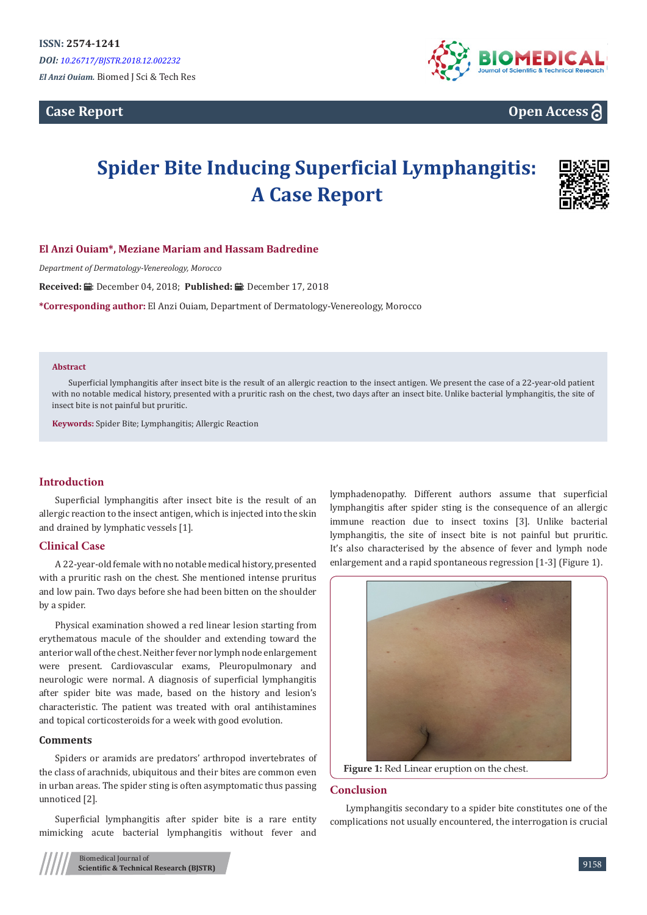**Case Report**



# **Open Access**

# **Spider Bite Inducing Superficial Lymphangitis: A Case Report**



# **El Anzi Ouiam\*, Meziane Mariam and Hassam Badredine**

*Department of Dermatology-Venereology, Morocco*

**Received: 曲: December 04, 2018; Published: 曲: December 17, 2018** 

**\*Corresponding author:** El Anzi Ouiam, Department of Dermatology-Venereology, Morocco

#### **Abstract**

Superficial lymphangitis after insect bite is the result of an allergic reaction to the insect antigen. We present the case of a 22-year-old patient with no notable medical history, presented with a pruritic rash on the chest, two days after an insect bite. Unlike bacterial lymphangitis, the site of insect bite is not painful but pruritic.

**Keywords:** Spider Bite; Lymphangitis; Allergic Reaction

# **Introduction**

Superficial lymphangitis after insect bite is the result of an allergic reaction to the insect antigen, which is injected into the skin and drained by lymphatic vessels [1].

# **Clinical Case**

A 22-year-old female with no notable medical history, presented with a pruritic rash on the chest. She mentioned intense pruritus and low pain. Two days before she had been bitten on the shoulder by a spider.

Physical examination showed a red linear lesion starting from erythematous macule of the shoulder and extending toward the anterior wall of the chest. Neither fever nor lymph node enlargement were present. Cardiovascular exams, Pleuropulmonary and neurologic were normal. A diagnosis of superficial lymphangitis after spider bite was made, based on the history and lesion's characteristic. The patient was treated with oral antihistamines and topical corticosteroids for a week with good evolution.

#### **Comments**

Spiders or aramids are predators' arthropod invertebrates of the class of arachnids, ubiquitous and their bites are common even in urban areas. The spider sting is often asymptomatic thus passing unnoticed [2].

Superficial lymphangitis after spider bite is a rare entity mimicking acute bacterial lymphangitis without fever and

lymphadenopathy. Different authors assume that superficial lymphangitis after spider sting is the consequence of an allergic immune reaction due to insect toxins [3]. Unlike bacterial lymphangitis, the site of insect bite is not painful but pruritic. It's also characterised by the absence of fever and lymph node enlargement and a rapid spontaneous regression [1-3] (Figure 1).



#### **Conclusion**

Lymphangitis secondary to a spider bite constitutes one of the complications not usually encountered, the interrogation is crucial